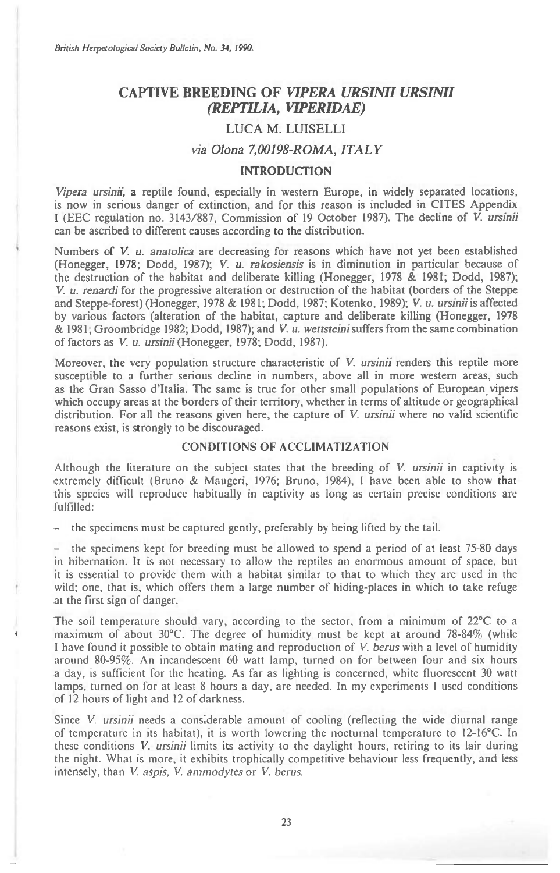# **CAPTIVE BREEDING OF** *VIPERA URSIMI URSIMI (REPTILIA, VIPERIDAE)*

## LUCA M. LUISELLI

# *via Olona 7,00198-ROMA, ITALY*

## **INTRODUCTION**

*Vipera ursinii,* a reptile found, especially in western Europe, in widely separated locations, is now in serious danger of extinction, and for this reason is included in CITES Appendix I (EEC regulation no. 3143/887, Commission of 19 October 1987). The decline of V. *ursinii*  can be ascribed to different causes according to the distribution.

Numbers of V. *u. anatolica* are decreasing for reasons which have not yet been established (Honegger, 1978; Dodd, 1987); V. *u. rakosiensis is* in diminution in particular because of the destruction of the habitat and deliberate killing (Honegger, 1978 & 1981; Dodd, 1987); V. *u. renardi* for the progressive alteration or destruction of the habitat (borders of the Steppe and Steppe-forest) (Honegger, 1978 & 1981; Dodd, 1987; Kotenko, 1989); V. *u. ursinii is* affected by various factors (alteration of the habitat, capture and deliberate killing (Honegger, 1978 & 1981; Groombridge 1982; Dodd, 1987); and V. *u. wettsteini suffers* from the same combination of factors as V. *u. ursinii* (Honegger, 1978; Dodd, 1987).

Moreover, the very population structure characteristic of V. *ursinii* renders this reptile more susceptible to a further serious decline in numbers, above all in more western areas, such as the Gran Sasso d'Italia. The same is true for other small populations of European vipers which occupy areas at the borders of their territory, whether in terms of altitude or geographical distribution. For all the reasons given here, the capture of V. *ursinii* where no valid scientific reasons exist, is strongly to be discouraged.

## CONDITIONS OF ACCLIMATIZATION

Although the literature on the subject states that the breeding of V. *ursinii* in captivity is extremely difficult (Bruno & Maugeri, 1976; Bruno, 1984), I have been able to show that this species will reproduce habitually in captivity as long as certain precise conditions are fulfilled:

- the specimens must be captured gently, preferably by being lifted by the tail.

- the specimens kept for breeding must be allowed to spend a period of at least 75-80 days in hibernation. It is not necessary to allow the reptiles an enormous amount of space, but it is essential to provide them with a habitat similar to that to which they are used in the wild; one, that is, which offers them a large number of hiding-places in which to take refuge at the first sign of danger.

The soil temperature should vary, according to the sector, from a minimum of 22°C to a maximum of about 30°C. The degree of humidity must be kept at around 78-84% (while 1 have found it possible to obtain mating and reproduction of V. *berus with* a level of humidity around 80-95%. An incandescent 60 watt lamp, turned on for between four and six hours a day, is sufficient for the heating. As far as lighting is concerned, white fluorescent 30 watt lamps, turned on for at least 8 hours a day, are needed. In my experiments I used conditions of 12 hours of light and 12 of darkness.

Since V. *ursinii* needs a considerable amount of cooling (reflecting the wide diurnal range of temperature in its habitat), it is worth lowering the nocturnal temperature to 12-16°C. In these conditions *V. ursinii* limits *its activity to* the daylight hours, retiring to its lair during the night. What is more, it exhibits trophically competitive behaviour less frequently, and less intensely, than V. *aspis, V. ammodytes* or V. *berus.*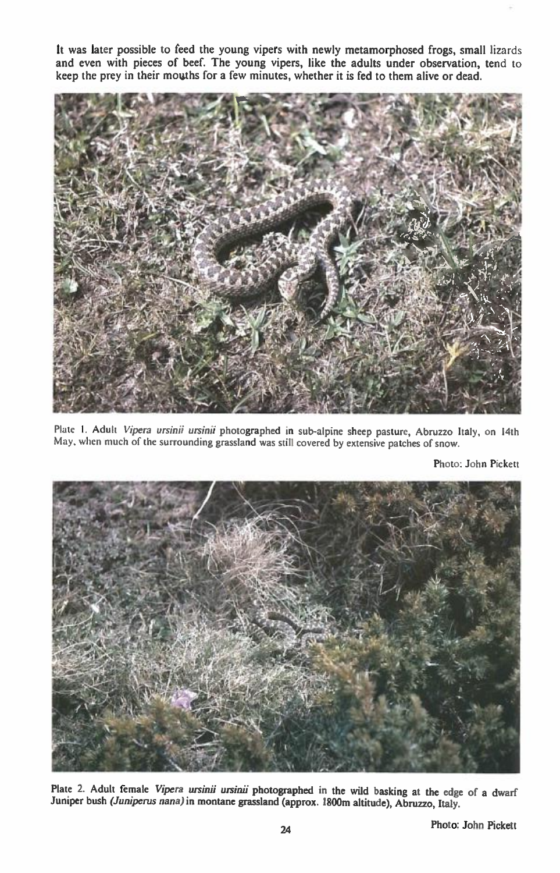It was later possible to feed the young vipers with newly metamorphosed frogs, small lizards and even with pieces of beef. The young vipers, like the adults under observation, tend to keep the prey in their mouths for a few minutes, whether it is fed to them alive or dead.



Plate I. Adult *Vipera ursinii ursirui* photographed in sub-alpine sheep pasture, Abruzzo Italy, on 14th May. when much of the surrounding grassland was still covered by extensive patches of snow.

Photo: John Pickett



Plate 2. Adult female *Vipera ursinii ursinii* photographed in the wild basking at the edge of a dwarf Juniper bush *(Juniperus nana) in* montane grassland (approx. 1800m altitude), Abruzzo, Italy.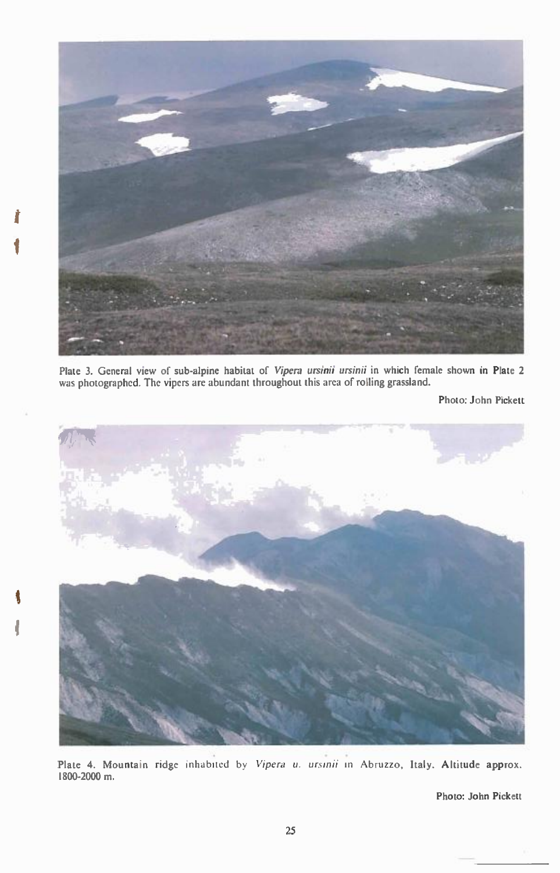

Plate 3. General view of sub-alpine habitat of **Vipera ursinii ursinii** in which female shown in Plate 2 was photographed. The vipers are abundant throughout this area of rolling grassland.

Photo: John Pickett



**4** 

Plate 4. Mountain ridge inhabited by Vipera u. ursinii in Abruzzo, Italy. Altitude approx. 1800-2000 m.

Photo: John Pickett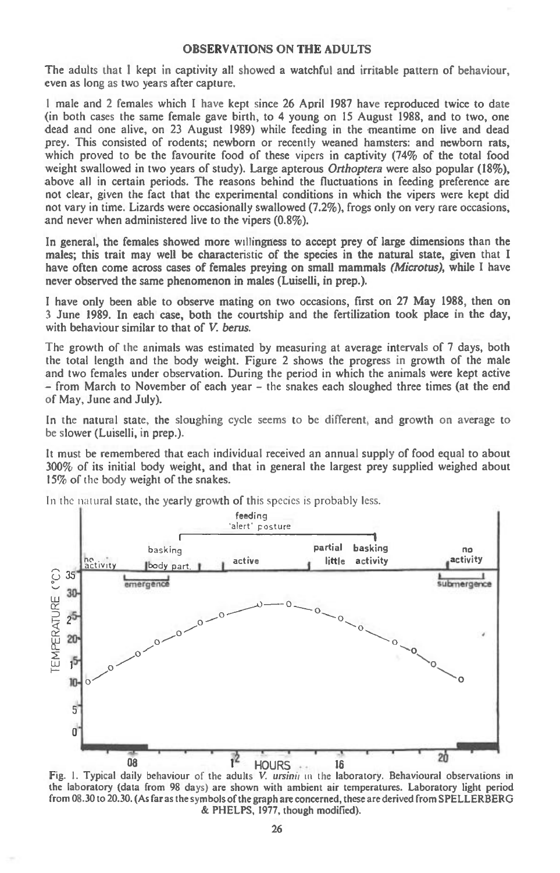## **OBSERVATIONS ON THE ADULTS**

**The adults that I kept in captivity all showed a watchful and irritable pattern of behaviour, even as long as two years after capture.** 

**I male and 2 females which I have kept since 26 April 1987 have reproduced twice to date (in both cases the same female gave birth, to 4 young on 15 August 1988, and to two, one dead and one alive, on 23 August 1989) while feeding in the meantime on live and dead prey. This consisted of rodents; newborn or recently weaned hamsters: and newborn rats, which proved to be the favourite food of these vipers in captivity (74% of the total food weight swallowed in two years of study). Large apterous** Orthoptera **were also popular (18%), above all in certain periods. The reasons behind the fluctuations in feeding preference are not clear, given the fact that the experimental conditions in which the vipers were kept did not vary in time. Lizards were occasionally swallowed (7.2%), frogs only on very rare occasions, and never when administered live to the vipers (0.8%).** 

**In general, the females showed more willingness to accept prey of large dimensions than the males; this trait may well be characteristic of the species in the natural state, given that I have often come across cases of females preying on small mammals** (Microtus), **while I have never observed the same phenomenon in males (Luiselli, in prep.).** 

**I have only been able to observe mating on two occasions, first on 27 May 1988, then on 3 June 1989. In each case, both the courtship and the fertilization took place in the day,**  with behaviour similar to that of *V. berus.* 

**The growth of the animals was estimated by measuring at average intervals of 7 days, both the total length and the body weight. Figure 2 shows the progress in growth of the male and two females under observation. During the period in which the animals were kept active - from March to November of each year - the snakes each sloughed three times (at the end of May, June and July).** 

**In the natural state, the sloughing cycle seems to be different, and growth on average to be slower (Luiselli, in prep.).** 

**It must be remembered that each individual received an annual supply of food equal to about 300% of its initial body weight, and that in general the largest prey supplied weighed about 15% of** the **body weight of the snakes.** 

In the natural **state, the yearly growth of this** species is probably less.



Fig. 1. Typical daily behaviour of the adults V. ursinii in the laboratory. Behavioural observations in the laboratory (data from 98 days) are shown with ambient air temperatures. Laboratory light period from 08.30 to 20.30. (As far as the symbols of the graph are concerned, these are derived from SPELLERBERG & PHELPS, 1977, though modified).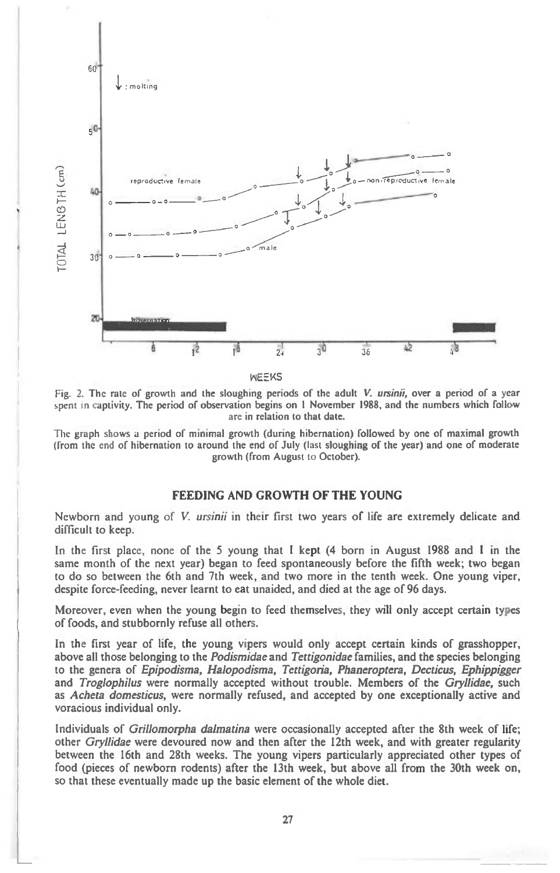

**WEEKS** 

Fig. 2. The rate of growth and the sloughing periods of the adult V. ursinii, over a period of a year spent in captivity. The period of observation begins on 1 November 1988, and the numbers which follow are in relation to that date.

The graph shows a period of minimal growth (during hibernation) followed by one of maximal growth (from the end of hibernation to around the end of July (last sloughing of the year) and one of moderate growth (from August to October).

## **FEEDING AND GROWTH OF THE YOUNG**

Newborn and young of V. *ursinii* in their first two years of life are extremely delicate and difficult to keep.

In the first place, none of the 5 young that I kept (4 born in August 1988 and I in the same month of the next year) began to feed spontaneously before the fifth week; two began to do so between the 6th and 7th week, and two more in the tenth week. One young viper, despite force-feeding, never learnt to eat unaided, and died at the age of 96 days.

Moreover, even when the young begin to feed themselves, they will only accept certain types of foods, and stubbornly refuse all others.

In the first year of life, the young vipers would only accept certain kinds of grasshopper, above all those belonging to the *Podismidae* and Tettigonidae families, and the species belonging to the genera of Epipodisma, Halopodisma, Tettigoria, Phaneroptera, Decticus, Ephippigger and Troglophilus were normally accepted without trouble. Members of the Gryllidae, such as Acheta domesticus, were normally refused, and accepted by one exceptionally active and voracious individual only.

Individuals of Grillomorpha dalmatina were occasionally accepted after the 8th week of life; other Gryllidae were devoured now and then after the 12th week, and with greater regularity between the 16th and 28th weeks. The young vipers particularly appreciated other types of food (pieces of newborn rodents) after the 13th week, but above all from the 30th week on, so that these eventually made up the basic element of the whole diet.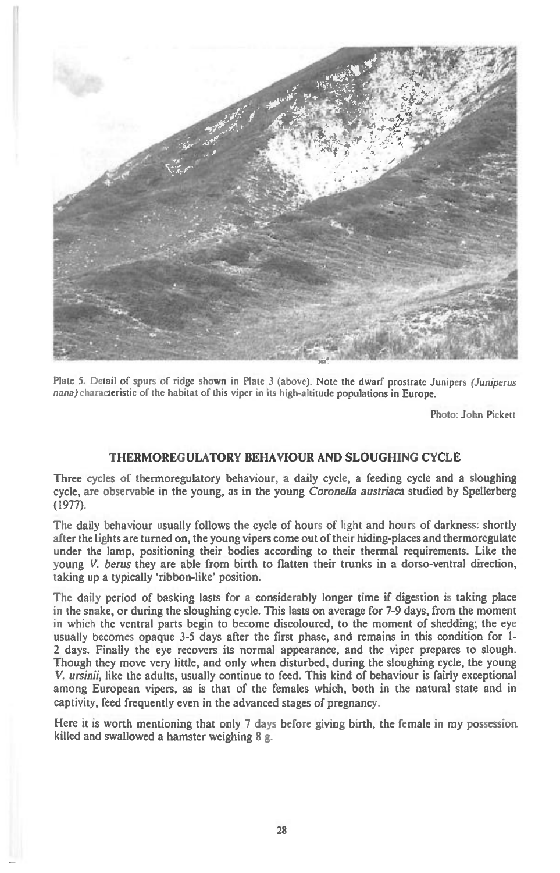

Plate 5. Detail of spurs of ridge shown in Plate 3 (above). Note the dwarf prostrate Junipers (Juniperus nana) characteristic of the habitat of this viper in its high-altitude populations in Europe.

Photo: John Pickett

## **THERMOREGULATORY BEHAVIOUR AND SLOUGHING CYCLE**

Three cycles of thermoregulatory behaviour, a daily cycle, a feeding cycle and a sloughing cycle, are observable in the young, as in the young Coronella austriaca studied by Spellerberg (1977).

The daily behaviour usually follows the cycle of hours of light and hours of darkness: shortly after the lights are turned on, the young vipers come out of their hiding-places and thermoregulate under the lamp, positioning their bodies according to their thermal requirements. Like the young V. berus they are able from birth to flatten their trunks in a dorso-ventral direction, taking up a typically 'ribbon-like' position.

The daily period of basking lasts for a considerably longer time if digestion is taking place in the snake, or during the sloughing cycle. This lasts on average for 7-9 days, from the moment in which the ventral parts begin to become discoloured, to the moment of shedding; the eye usually becomes opaque 3-5 days after the first phase, and remains in this condition for 1- 2 days. Finally the eye recovers its normal appearance, and the viper prepares to slough. Though they move very little, and only when disturbed, during the sloughing cycle, the young V. ursinii, like the adults, usually continue to feed. This kind of behaviour is fairly exceptional among European vipers, as is that of the females which, both in the natural state and in captivity, feed frequently even in the advanced stages of pregnancy.

Here it is worth mentioning that only 7 days before giving birth, the female in my possession killed and swallowed a hamster weighing 8 g.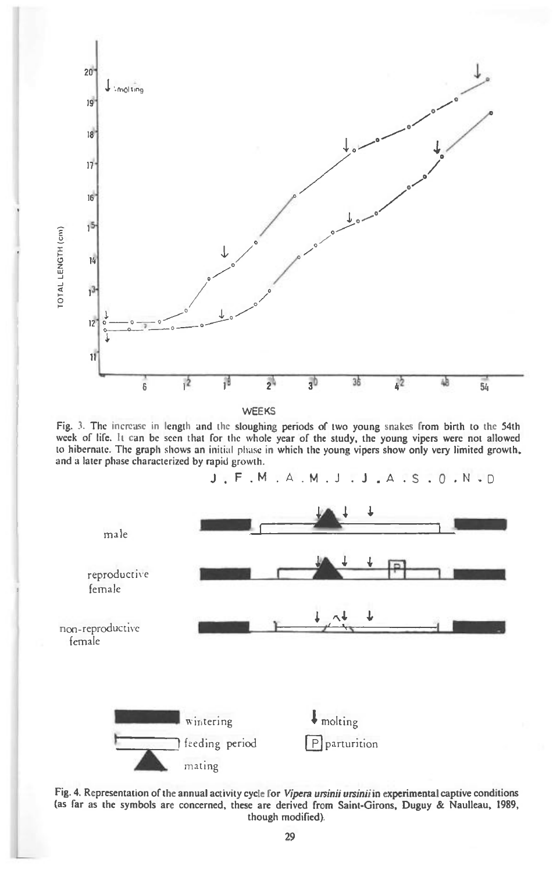







Fig. 4. Representation of the annual activity cycle for *Vipera ursinii ursinii* in experimental captive conditions (as far as the symbols are concerned, these are derived from Saint-Girons, Duguy & Naulleau, 1989, though modified).